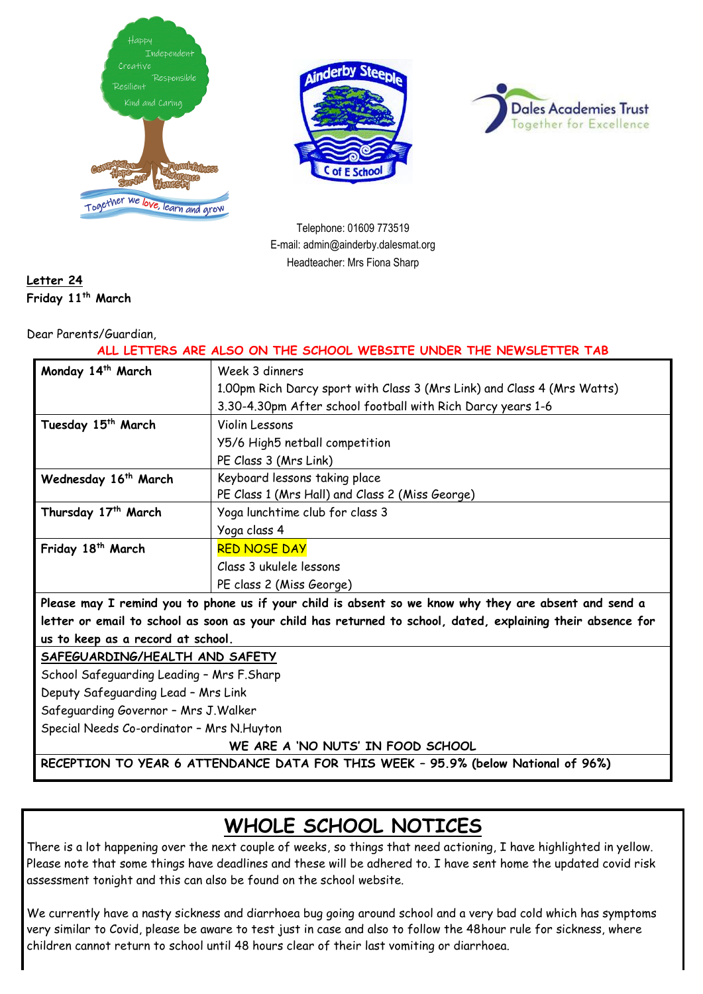





Telephone: 01609 773519 E-mail: admin@ainderby.dalesmat.org Headteacher: Mrs Fiona Sharp

### **Letter 24 Friday 11th March**

Dear Parents/Guardian,

**ALL LETTERS ARE ALSO ON THE SCHOOL WEBSITE UNDER THE NEWSLETTER TAB**

| Monday 14 <sup>th</sup> March                                                                               | Week 3 dinners                                                          |
|-------------------------------------------------------------------------------------------------------------|-------------------------------------------------------------------------|
|                                                                                                             | 1.00pm Rich Darcy sport with Class 3 (Mrs Link) and Class 4 (Mrs Watts) |
|                                                                                                             | 3.30-4.30pm After school football with Rich Darcy years 1-6             |
| Tuesday 15 <sup>th</sup> March                                                                              | Violin Lessons                                                          |
|                                                                                                             | Y5/6 High5 netball competition                                          |
|                                                                                                             | PE Class 3 (Mrs Link)                                                   |
| Wednesday 16 <sup>th</sup> March                                                                            | Keyboard lessons taking place                                           |
|                                                                                                             | PE Class 1 (Mrs Hall) and Class 2 (Miss George)                         |
| Thursday 17 <sup>th</sup> March                                                                             | Yoga lunchtime club for class 3                                         |
|                                                                                                             | Yoga class 4                                                            |
| Friday 18 <sup>th</sup> March                                                                               | <b>RED NOSE DAY</b>                                                     |
|                                                                                                             | Class 3 ukulele lessons                                                 |
|                                                                                                             | PE class 2 (Miss George)                                                |
| Please may I remind you to phone us if your child is absent so we know why they are absent and send a       |                                                                         |
| letter or email to school as soon as your child has returned to school, dated, explaining their absence for |                                                                         |
| us to keep as a record at school.                                                                           |                                                                         |
|                                                                                                             |                                                                         |

**SAFEGUARDING/HEALTH AND SAFETY** 

School Safeguarding Leading – Mrs F.Sharp

Deputy Safeguarding Lead – Mrs Link

Safeguarding Governor – Mrs J.Walker

Special Needs Co-ordinator – Mrs N.Huyton

**WE ARE A 'NO NUTS' IN FOOD SCHOOL**

**RECEPTION TO YEAR 6 ATTENDANCE DATA FOR THIS WEEK – 95.9% (below National of 96%)**

# **WHOLE SCHOOL NOTICES**

There is a lot happening over the next couple of weeks, so things that need actioning, I have highlighted in yellow. Please note that some things have deadlines and these will be adhered to. I have sent home the updated covid risk assessment tonight and this can also be found on the school website.

We currently have a nasty sickness and diarrhoea bug going around school and a very bad cold which has symptoms very similar to Covid, please be aware to test just in case and also to follow the 48hour rule for sickness, where children cannot return to school until 48 hours clear of their last vomiting or diarrhoea.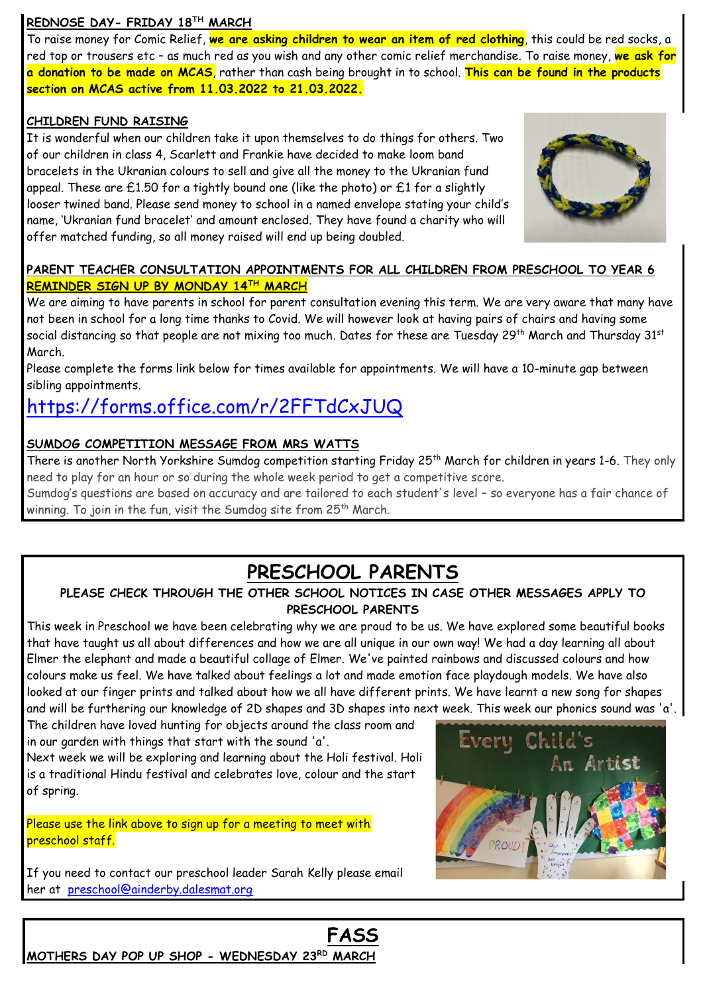#### **REDNOSE DAY- FRIDAY 18TH MARCH**

To raise money for Comic Relief, **we are asking children to wear an item of red clothing**, this could be red socks, a red top or trousers etc – as much red as you wish and any other comic relief merchandise. To raise money, **we ask for a donation to be made on MCAS**, rather than cash being brought in to school. **This can be found in the products section on MCAS active from 11.03.2022 to 21.03.2022.**

#### **CHILDREN FUND RAISING**

It is wonderful when our children take it upon themselves to do things for others. Two of our children in class 4, Scarlett and Frankie have decided to make loom band bracelets in the Ukranian colours to sell and give all the money to the Ukranian fund appeal. These are £1.50 for a tightly bound one (like the photo) or £1 for a slightly looser twined band. Please send money to school in a named envelope stating your child's name, 'Ukranian fund bracelet' and amount enclosed. They have found a charity who will offer matched funding, so all money raised will end up being doubled.



#### **PARENT TEACHER CONSULTATION APPOINTMENTS FOR ALL CHILDREN FROM PRESCHOOL TO YEAR 6 REMINDER SIGN UP BY MONDAY 14TH MARCH**

We are aiming to have parents in school for parent consultation evening this term. We are very aware that many have not been in school for a long time thanks to Covid. We will however look at having pairs of chairs and having some social distancing so that people are not mixing too much. Dates for these are Tuesday 29<sup>th</sup> March and Thursday 31<sup>st</sup> March.

Please complete the forms link below for times available for appointments. We will have a 10-minute gap between sibling appointments.

# <https://forms.office.com/r/2FFTdCxJUQ>

#### **SUMDOG COMPETITION MESSAGE FROM MRS WATTS**

There is another North Yorkshire Sumdog competition starting Friday 25<sup>th</sup> March for children in years 1-6. They only need to play for an hour or so during the whole week period to get a competitive score.

Sumdog's questions are based on accuracy and are tailored to each student's level – so everyone has a fair chance of winning. To join in the fun, visit the Sumdog site from 25<sup>th</sup> March.

### **PRESCHOOL PARENTS**

### **PLEASE CHECK THROUGH THE OTHER SCHOOL NOTICES IN CASE OTHER MESSAGES APPLY TO PRESCHOOL PARENTS**

This week in Preschool we have been celebrating why we are proud to be us. We have explored some beautiful books that have taught us all about differences and how we are all unique in our own way! We had a day learning all about Elmer the elephant and made a beautiful collage of Elmer. We've painted rainbows and discussed colours and how colours make us feel. We have talked about feelings a lot and made emotion face playdough models. We have also looked at our finger prints and talked about how we all have different prints. We have learnt a new song for shapes and will be furthering our knowledge of 2D shapes and 3D shapes into next week. This week our phonics sound was 'a'.

**FASS**

The children have loved hunting for objects around the class room and in our garden with things that start with the sound 'a'.

Next week we will be exploring and learning about the Holi festival. Holi is a traditional Hindu festival and celebrates love, colour and the start of spring.

Please use the link above to sign up for a meeting to meet with preschool staff.

**MOTHERS DAY POP UP SHOP - WEDNESDAY 23RD MARCH**

If you need to contact our preschool leader Sarah Kelly please email her at [preschool@ainderby.dalesmat.org](mailto:preschool@ainderby.dalesmat.org)